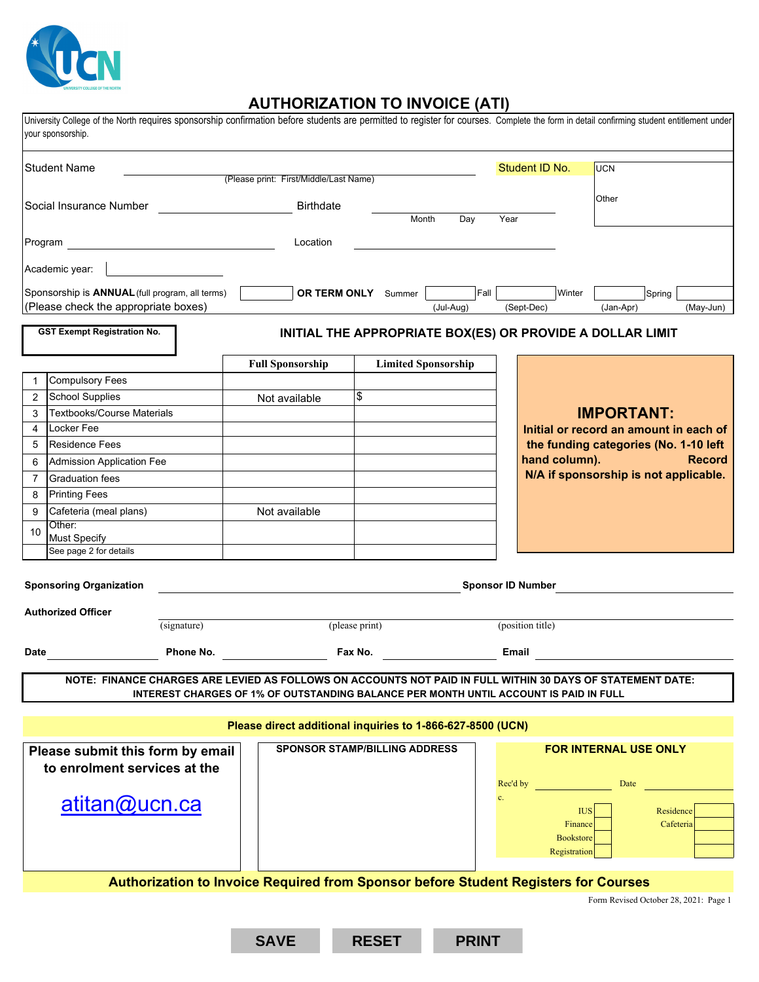

## **AUTHORIZATION TO INVOICE (ATI)**

| your sponsorship.                                                                                                                                                                                   | University College of the North requires sponsorship confirmation before students are permitted to register for courses. Complete the form in detail confirming student entitlement under |                         |                                                 |                            |    |                                                           |                                       |                        |               |  |
|-----------------------------------------------------------------------------------------------------------------------------------------------------------------------------------------------------|-------------------------------------------------------------------------------------------------------------------------------------------------------------------------------------------|-------------------------|-------------------------------------------------|----------------------------|----|-----------------------------------------------------------|---------------------------------------|------------------------|---------------|--|
| <b>Student Name</b>                                                                                                                                                                                 |                                                                                                                                                                                           |                         | (Please print: First/Middle/Last Name)          |                            |    | Student ID No.                                            | <b>UCN</b>                            |                        |               |  |
| Social Insurance Number                                                                                                                                                                             |                                                                                                                                                                                           |                         | <b>Birthdate</b>                                |                            |    |                                                           | Other                                 |                        |               |  |
|                                                                                                                                                                                                     |                                                                                                                                                                                           |                         | Month<br>Day                                    |                            |    | Year                                                      |                                       |                        |               |  |
| Program                                                                                                                                                                                             |                                                                                                                                                                                           |                         | Location                                        |                            |    |                                                           |                                       |                        |               |  |
| Academic year:                                                                                                                                                                                      |                                                                                                                                                                                           |                         |                                                 |                            |    |                                                           |                                       |                        |               |  |
|                                                                                                                                                                                                     | Sponsorship is ANNUAL (full program, all terms)<br>(Please check the appropriate boxes)                                                                                                   |                         | Fall<br><b>OR TERM ONLY</b> Summer<br>(Jul-Aug) |                            |    | Winter<br>(Sept-Dec)                                      | (Jan-Apr)                             | Spring                 | (May-Jun)     |  |
| <b>GST Exempt Registration No.</b><br>INITIAL THE APPROPRIATE BOX(ES) OR PROVIDE A DOLLAR LIMIT                                                                                                     |                                                                                                                                                                                           |                         |                                                 |                            |    |                                                           |                                       |                        |               |  |
|                                                                                                                                                                                                     |                                                                                                                                                                                           | <b>Full Sponsorship</b> |                                                 | <b>Limited Sponsorship</b> |    |                                                           |                                       |                        |               |  |
| <b>Compulsory Fees</b>                                                                                                                                                                              |                                                                                                                                                                                           |                         |                                                 |                            |    |                                                           |                                       |                        |               |  |
| <b>School Supplies</b><br>$\overline{2}$                                                                                                                                                            |                                                                                                                                                                                           | Not available           | \$                                              |                            |    |                                                           |                                       |                        |               |  |
| 3                                                                                                                                                                                                   | <b>Textbooks/Course Materials</b>                                                                                                                                                         |                         |                                                 |                            |    |                                                           | <b>IMPORTANT:</b>                     |                        |               |  |
| Locker Fee<br>$\overline{4}$                                                                                                                                                                        |                                                                                                                                                                                           |                         |                                                 |                            |    | Initial or record an amount in each of                    |                                       |                        |               |  |
| Residence Fees<br>5                                                                                                                                                                                 |                                                                                                                                                                                           |                         |                                                 |                            |    | the funding categories (No. 1-10 left                     |                                       |                        |               |  |
| Admission Application Fee<br>6                                                                                                                                                                      |                                                                                                                                                                                           |                         |                                                 |                            |    | hand column).                                             |                                       |                        | <b>Record</b> |  |
| $\overline{7}$<br><b>Graduation fees</b>                                                                                                                                                            |                                                                                                                                                                                           |                         |                                                 |                            |    | N/A if sponsorship is not applicable.                     |                                       |                        |               |  |
| <b>Printing Fees</b><br>8                                                                                                                                                                           |                                                                                                                                                                                           |                         |                                                 |                            |    |                                                           |                                       |                        |               |  |
| Cafeteria (meal plans)<br>9                                                                                                                                                                         |                                                                                                                                                                                           | Not available           |                                                 |                            |    |                                                           |                                       |                        |               |  |
| Other:<br>10<br><b>Must Specify</b>                                                                                                                                                                 |                                                                                                                                                                                           |                         |                                                 |                            |    |                                                           |                                       |                        |               |  |
| See page 2 for details                                                                                                                                                                              |                                                                                                                                                                                           |                         |                                                 |                            |    |                                                           |                                       |                        |               |  |
| <b>Sponsoring Organization</b><br><b>Sponsor ID Number</b><br><b>Authorized Officer</b><br>(signature)<br>(please print)<br>(position title)                                                        |                                                                                                                                                                                           |                         |                                                 |                            |    |                                                           |                                       |                        |               |  |
|                                                                                                                                                                                                     |                                                                                                                                                                                           |                         |                                                 |                            |    |                                                           |                                       |                        |               |  |
| Date                                                                                                                                                                                                | Phone No.                                                                                                                                                                                 |                         | Fax No.                                         |                            |    | Email                                                     |                                       |                        |               |  |
| NOTE: FINANCE CHARGES ARE LEVIED AS FOLLOWS ON ACCOUNTS NOT PAID IN FULL WITHIN 30 DAYS OF STATEMENT DATE:<br>INTEREST CHARGES OF 1% OF OUTSTANDING BALANCE PER MONTH UNTIL ACCOUNT IS PAID IN FULL |                                                                                                                                                                                           |                         |                                                 |                            |    |                                                           |                                       |                        |               |  |
|                                                                                                                                                                                                     |                                                                                                                                                                                           |                         |                                                 |                            |    |                                                           |                                       |                        |               |  |
| Please direct additional inquiries to 1-866-627-8500 (UCN)                                                                                                                                          |                                                                                                                                                                                           |                         |                                                 |                            |    |                                                           |                                       |                        |               |  |
|                                                                                                                                                                                                     | Please submit this form by email<br>to enrolment services at the                                                                                                                          |                         | <b>SPONSOR STAMP/BILLING ADDRESS</b>            |                            |    | <b>FOR INTERNAL USE ONLY</b><br>Date<br>Rec'd by          |                                       |                        |               |  |
| atitan@ucn.ca                                                                                                                                                                                       |                                                                                                                                                                                           |                         |                                                 |                            | c. | <b>IUS</b><br>Finance<br><b>Bookstore</b><br>Registration |                                       | Residence<br>Cafeteria |               |  |
| Authorization to Invoice Required from Sponsor before Student Registers for Courses                                                                                                                 |                                                                                                                                                                                           |                         |                                                 |                            |    |                                                           |                                       |                        |               |  |
|                                                                                                                                                                                                     |                                                                                                                                                                                           |                         |                                                 |                            |    |                                                           |                                       |                        |               |  |
|                                                                                                                                                                                                     |                                                                                                                                                                                           |                         |                                                 |                            |    |                                                           | Form Revised October 28, 2021: Page 1 |                        |               |  |
|                                                                                                                                                                                                     |                                                                                                                                                                                           | <b>SAVE</b>             | <b>RESET</b>                                    | <b>PRINT</b>               |    |                                                           |                                       |                        |               |  |